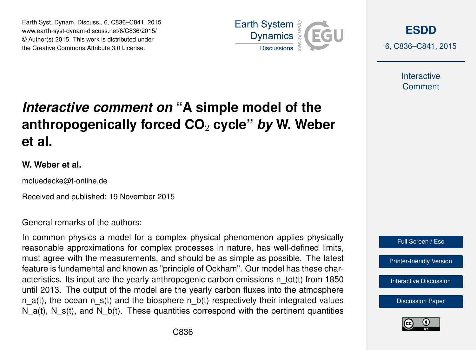Earth Syst. Dynam. Discuss., 6, C836–C841, 2015 www.earth-syst-dynam-discuss.net/6/C836/2015/ © Author(s) 2015. This work is distributed under the Creative Commons Attribute 3.0 License.



**[ESDD](http://www.earth-syst-dynam-discuss.net)**

6, C836–C841, 2015

**Interactive** Comment

## *Interactive comment on* **"A simple model of the anthropogenically forced CO**<sup>2</sup> **cycle"** *by* **W. Weber et al.**

## **W. Weber et al.**

moluedecke@t-online.de

Received and published: 19 November 2015

General remarks of the authors:

In common physics a model for a complex physical phenomenon applies physically reasonable approximations for complex processes in nature, has well-defined limits, must agree with the measurements, and should be as simple as possible. The latest feature is fundamental and known as "principle of Ockham". Our model has these characteristics. Its input are the yearly anthropogenic carbon emissions n\_tot(t) from 1850 until 2013. The output of the model are the yearly carbon fluxes into the atmosphere n  $a(t)$ , the ocean n  $s(t)$  and the biosphere n  $b(t)$  respectively their integrated values N  $a(t)$ , N  $s(t)$ , and N  $b(t)$ . These quantities correspond with the pertinent quantities



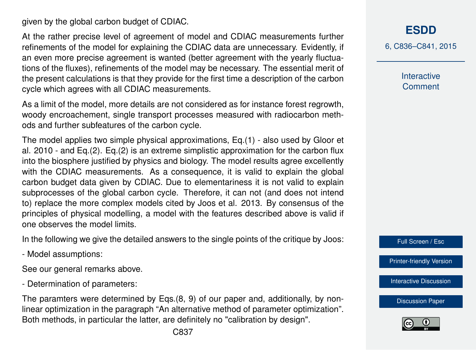given by the global carbon budget of CDIAC.

At the rather precise level of agreement of model and CDIAC measurements further refinements of the model for explaining the CDIAC data are unnecessary. Evidently, if an even more precise agreement is wanted (better agreement with the yearly fluctuations of the fluxes), refinements of the model may be necessary. The essential merit of the present calculations is that they provide for the first time a description of the carbon cycle which agrees with all CDIAC measurements.

As a limit of the model, more details are not considered as for instance forest regrowth, woody encroachement, single transport processes measured with radiocarbon methods and further subfeatures of the carbon cycle.

The model applies two simple physical approximations, Eq.(1) - also used by Gloor et al. 2010 - and Eq.(2). Eq.(2) is an extreme simplistic approximation for the carbon flux into the biosphere justified by physics and biology. The model results agree excellently with the CDIAC measurements. As a consequence, it is valid to explain the global carbon budget data given by CDIAC. Due to elementariness it is not valid to explain subprocesses of the global carbon cycle. Therefore, it can not (and does not intend to) replace the more complex models cited by Joos et al. 2013. By consensus of the principles of physical modelling, a model with the features described above is valid if one observes the model limits.

In the following we give the detailed answers to the single points of the critique by Joos:

- Model assumptions:

See our general remarks above.

- Determination of parameters:

The paramters were determined by Eqs.(8, 9) of our paper and, additionally, by nonlinear optimization in the paragraph "An alternative method of parameter optimization". Both methods, in particular the latter, are definitely no "calibration by design".

6, C836–C841, 2015

**Interactive Comment** 

Full Screen / Esc

[Printer-friendly Version](http://www.earth-syst-dynam-discuss.net/6/C836/2015/esdd-6-C836-2015-print.pdf)

[Interactive Discussion](http://www.earth-syst-dynam-discuss.net/6/2043/2015/esdd-6-2043-2015-discussion.html)

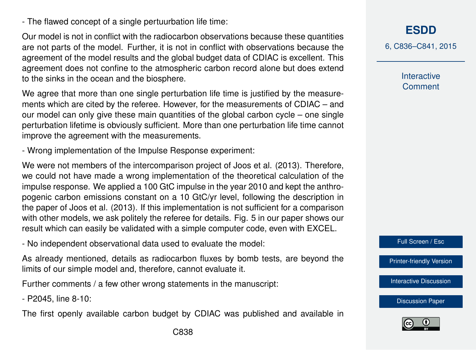- The flawed concept of a single pertuurbation life time:

Our model is not in conflict with the radiocarbon observations because these quantities are not parts of the model. Further, it is not in conflict with observations because the agreement of the model results and the global budget data of CDIAC is excellent. This agreement does not confine to the atmospheric carbon record alone but does extend to the sinks in the ocean and the biosphere.

We agree that more than one single perturbation life time is justified by the measurements which are cited by the referee. However, for the measurements of CDIAC – and our model can only give these main quantities of the global carbon cycle – one single perturbation lifetime is obviously sufficient. More than one perturbation life time cannot improve the agreement with the measurements.

- Wrong implementation of the Impulse Response experiment:

We were not members of the intercomparison project of Joos et al. (2013). Therefore, we could not have made a wrong implementation of the theoretical calculation of the impulse response. We applied a 100 GtC impulse in the year 2010 and kept the anthropogenic carbon emissions constant on a 10 GtC/yr level, following the description in the paper of Joos et al. (2013). If this implementation is not sufficient for a comparison with other models, we ask politely the referee for details. Fig. 5 in our paper shows our result which can easily be validated with a simple computer code, even with EXCEL.

- No independent observational data used to evaluate the model:

As already mentioned, details as radiocarbon fluxes by bomb tests, are beyond the limits of our simple model and, therefore, cannot evaluate it.

Further comments / a few other wrong statements in the manuscript:

- P2045, line 8-10:

The first openly available carbon budget by CDIAC was published and available in

**[ESDD](http://www.earth-syst-dynam-discuss.net)**

6, C836–C841, 2015

**Interactive Comment** 

Full Screen / Esc

[Printer-friendly Version](http://www.earth-syst-dynam-discuss.net/6/C836/2015/esdd-6-C836-2015-print.pdf)

[Interactive Discussion](http://www.earth-syst-dynam-discuss.net/6/2043/2015/esdd-6-2043-2015-discussion.html)

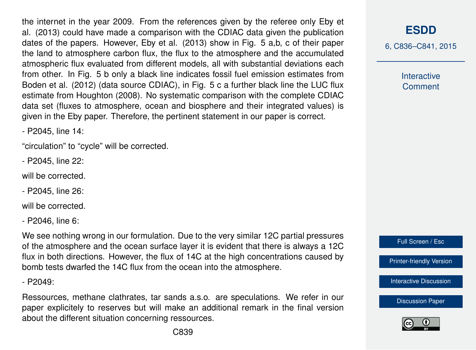the internet in the year 2009. From the references given by the referee only Eby et al. (2013) could have made a comparison with the CDIAC data given the publication dates of the papers. However, Eby et al. (2013) show in Fig. 5 a,b, c of their paper the land to atmosphere carbon flux, the flux to the atmosphere and the accumulated atmospheric flux evaluated from different models, all with substantial deviations each from other. In Fig. 5 b only a black line indicates fossil fuel emission estimates from Boden et al. (2012) (data source CDIAC), in Fig. 5 c a further black line the LUC flux estimate from Houghton (2008). No systematic comparison with the complete CDIAC data set (fluxes to atmosphere, ocean and biosphere and their integrated values) is given in the Eby paper. Therefore, the pertinent statement in our paper is correct.

- P2045, line 14:

"circulation" to "cycle" will be corrected.

- P2045, line 22:

will be corrected.

- P2045, line 26:

will be corrected.

- P2046, line 6:

We see nothing wrong in our formulation. Due to the very similar 12C partial pressures of the atmosphere and the ocean surface layer it is evident that there is always a 12C flux in both directions. However, the flux of 14C at the high concentrations caused by bomb tests dwarfed the 14C flux from the ocean into the atmosphere.

 $-$  P2049:

Ressources, methane clathrates, tar sands a.s.o. are speculations. We refer in our paper explicitely to reserves but will make an additional remark in the final version about the different situation concerning ressources.

**[ESDD](http://www.earth-syst-dynam-discuss.net)**

6, C836–C841, 2015

**Interactive Comment** 



[Printer-friendly Version](http://www.earth-syst-dynam-discuss.net/6/C836/2015/esdd-6-C836-2015-print.pdf)

[Interactive Discussion](http://www.earth-syst-dynam-discuss.net/6/2043/2015/esdd-6-2043-2015-discussion.html)

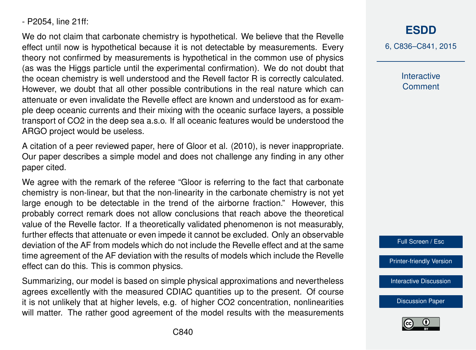- P2054, line 21ff:

We do not claim that carbonate chemistry is hypothetical. We believe that the Revelle effect until now is hypothetical because it is not detectable by measurements. Every theory not confirmed by measurements is hypothetical in the common use of physics (as was the Higgs particle until the experimental confirmation). We do not doubt that the ocean chemistry is well understood and the Revell factor R is correctly calculated. However, we doubt that all other possible contributions in the real nature which can attenuate or even invalidate the Revelle effect are known and understood as for example deep oceanic currents and their mixing with the oceanic surface layers, a possible transport of CO2 in the deep sea a.s.o. If all oceanic features would be understood the ARGO project would be useless.

A citation of a peer reviewed paper, here of Gloor et al. (2010), is never inappropriate. Our paper describes a simple model and does not challenge any finding in any other paper cited.

We agree with the remark of the referee "Gloor is referring to the fact that carbonate chemistry is non-linear, but that the non-linearity in the carbonate chemistry is not yet large enough to be detectable in the trend of the airborne fraction." However, this probably correct remark does not allow conclusions that reach above the theoretical value of the Revelle factor. If a theoretically validated phenomenon is not measurably, further effects that attenuate or even impede it cannot be excluded. Only an observable deviation of the AF from models which do not include the Revelle effect and at the same time agreement of the AF deviation with the results of models which include the Revelle effect can do this. This is common physics.

Summarizing, our model is based on simple physical approximations and nevertheless agrees excellently with the measured CDIAC quantities up to the present. Of course it is not unlikely that at higher levels, e.g. of higher CO2 concentration, nonlinearities will matter. The rather good agreement of the model results with the measurements 6, C836–C841, 2015

**Interactive Comment** 



[Printer-friendly Version](http://www.earth-syst-dynam-discuss.net/6/C836/2015/esdd-6-C836-2015-print.pdf)

[Interactive Discussion](http://www.earth-syst-dynam-discuss.net/6/2043/2015/esdd-6-2043-2015-discussion.html)